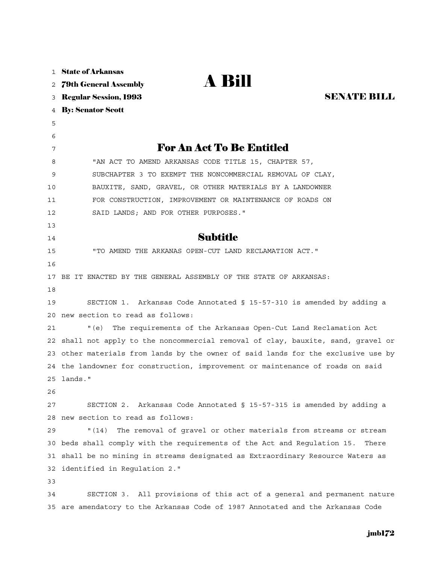| $\mathbf{1}$ | <b>State of Arkansas</b>                                                       |
|--------------|--------------------------------------------------------------------------------|
| 2            | <b>A Bill</b><br><b>79th General Assembly</b>                                  |
| 3            | <b>SENATE BILL</b><br><b>Regular Session, 1993</b>                             |
| 4            | <b>By: Senator Scott</b>                                                       |
| 5            |                                                                                |
| 6            |                                                                                |
| 7            | <b>For An Act To Be Entitled</b>                                               |
| 8            | "AN ACT TO AMEND ARKANSAS CODE TITLE 15, CHAPTER 57,                           |
| 9            | SUBCHAPTER 3 TO EXEMPT THE NONCOMMERCIAL REMOVAL OF CLAY,                      |
| 10           | BAUXITE, SAND, GRAVEL, OR OTHER MATERIALS BY A LANDOWNER                       |
| 11           | FOR CONSTRUCTION, IMPROVEMENT OR MAINTENANCE OF ROADS ON                       |
| 12           | SAID LANDS; AND FOR OTHER PURPOSES."                                           |
| 13           |                                                                                |
| 14           | <b>Subtitle</b>                                                                |
| 15           | "TO AMEND THE ARKANAS OPEN-CUT LAND RECLAMATION ACT."                          |
| 16           |                                                                                |
| 17           | BE IT ENACTED BY THE GENERAL ASSEMBLY OF THE STATE OF ARKANSAS:                |
| 18           |                                                                                |
| 19           | SECTION 1. Arkansas Code Annotated § 15-57-310 is amended by adding a          |
| 20           | new section to read as follows:                                                |
| 21           | " (e)<br>The requirements of the Arkansas Open-Cut Land Reclamation Act        |
| 22           | shall not apply to the noncommercial removal of clay, bauxite, sand, gravel or |
| 23           | other materials from lands by the owner of said lands for the exclusive use by |
|              | 24 the landowner for construction, improvement or maintenance of roads on said |
|              | 25 lands."                                                                     |
| 26           |                                                                                |
| 27           | Arkansas Code Annotated § 15-57-315 is amended by adding a<br>SECTION 2.       |
| 28           | new section to read as follows:                                                |
| 29           | The removal of gravel or other materials from streams or stream<br>" (14)      |
| 30           | beds shall comply with the requirements of the Act and Requlation 15.<br>There |
| 31           | shall be no mining in streams designated as Extraordinary Resource Waters as   |
| 32           | identified in Regulation 2."                                                   |
| 33           |                                                                                |
| 34           | SECTION 3. All provisions of this act of a general and permanent nature        |
| 35           | are amendatory to the Arkansas Code of 1987 Annotated and the Arkansas Code    |

## jmb172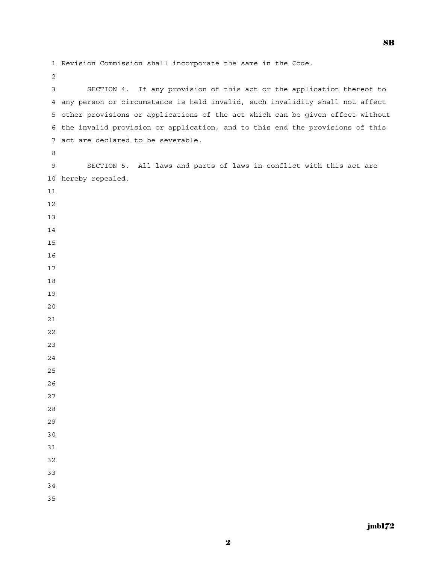1 Revision Commission shall incorporate the same in the Code.

 3 SECTION 4. If any provision of this act or the application thereof to 4 any person or circumstance is held invalid, such invalidity shall not affect 5 other provisions or applications of the act which can be given effect without 6 the invalid provision or application, and to this end the provisions of this 7 act are declared to be severable. 9 SECTION 5. All laws and parts of laws in conflict with this act are 10 hereby repealed.